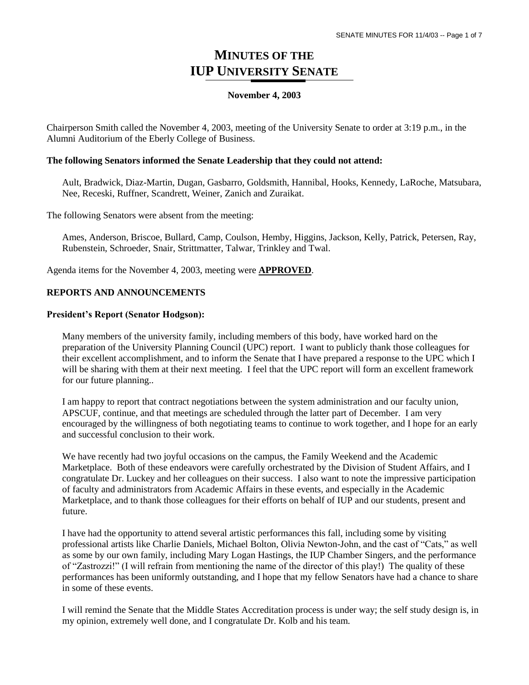## **MINUTES OF THE IUP UNIVERSITY SENATE**

#### **November 4, 2003**

Chairperson Smith called the November 4, 2003, meeting of the University Senate to order at 3:19 p.m., in the Alumni Auditorium of the Eberly College of Business.

#### **The following Senators informed the Senate Leadership that they could not attend:**

Ault, Bradwick, Diaz-Martin, Dugan, Gasbarro, Goldsmith, Hannibal, Hooks, Kennedy, LaRoche, Matsubara, Nee, Receski, Ruffner, Scandrett, Weiner, Zanich and Zuraikat.

The following Senators were absent from the meeting:

Ames, Anderson, Briscoe, Bullard, Camp, Coulson, Hemby, Higgins, Jackson, Kelly, Patrick, Petersen, Ray, Rubenstein, Schroeder, Snair, Strittmatter, Talwar, Trinkley and Twal.

Agenda items for the November 4, 2003, meeting were **APPROVED**.

#### **REPORTS AND ANNOUNCEMENTS**

#### **President's Report (Senator Hodgson):**

Many members of the university family, including members of this body, have worked hard on the preparation of the University Planning Council (UPC) report. I want to publicly thank those colleagues for their excellent accomplishment, and to inform the Senate that I have prepared a response to the UPC which I will be sharing with them at their next meeting. I feel that the UPC report will form an excellent framework for our future planning..

I am happy to report that contract negotiations between the system administration and our faculty union, APSCUF, continue, and that meetings are scheduled through the latter part of December. I am very encouraged by the willingness of both negotiating teams to continue to work together, and I hope for an early and successful conclusion to their work.

We have recently had two joyful occasions on the campus, the Family Weekend and the Academic Marketplace. Both of these endeavors were carefully orchestrated by the Division of Student Affairs, and I congratulate Dr. Luckey and her colleagues on their success. I also want to note the impressive participation of faculty and administrators from Academic Affairs in these events, and especially in the Academic Marketplace, and to thank those colleagues for their efforts on behalf of IUP and our students, present and future.

I have had the opportunity to attend several artistic performances this fall, including some by visiting professional artists like Charlie Daniels, Michael Bolton, Olivia Newton-John, and the cast of "Cats," as well as some by our own family, including Mary Logan Hastings, the IUP Chamber Singers, and the performance of "Zastrozzi!" (I will refrain from mentioning the name of the director of this play!) The quality of these performances has been uniformly outstanding, and I hope that my fellow Senators have had a chance to share in some of these events.

I will remind the Senate that the Middle States Accreditation process is under way; the self study design is, in my opinion, extremely well done, and I congratulate Dr. Kolb and his team.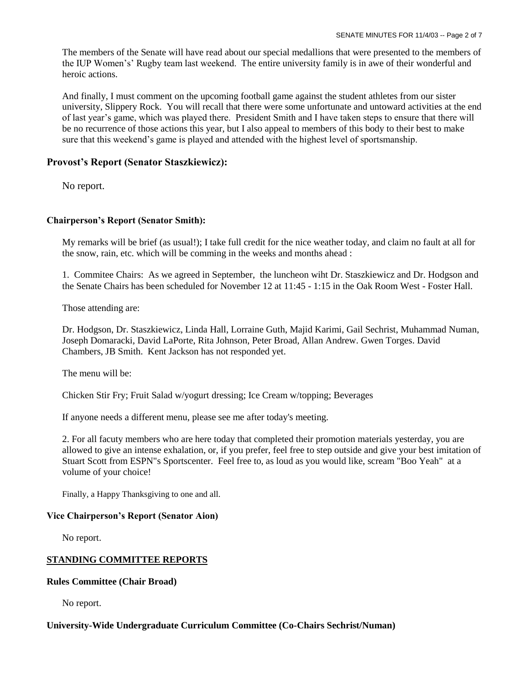The members of the Senate will have read about our special medallions that were presented to the members of the IUP Women's' Rugby team last weekend. The entire university family is in awe of their wonderful and heroic actions.

And finally, I must comment on the upcoming football game against the student athletes from our sister university, Slippery Rock. You will recall that there were some unfortunate and untoward activities at the end of last year's game, which was played there. President Smith and I have taken steps to ensure that there will be no recurrence of those actions this year, but I also appeal to members of this body to their best to make sure that this weekend's game is played and attended with the highest level of sportsmanship.

### **Provost's Report (Senator Staszkiewicz):**

No report.

#### **Chairperson's Report (Senator Smith):**

My remarks will be brief (as usual!); I take full credit for the nice weather today, and claim no fault at all for the snow, rain, etc. which will be comming in the weeks and months ahead :

1. Commitee Chairs: As we agreed in September, the luncheon wiht Dr. Staszkiewicz and Dr. Hodgson and the Senate Chairs has been scheduled for November 12 at 11:45 - 1:15 in the Oak Room West - Foster Hall.

Those attending are:

Dr. Hodgson, Dr. Staszkiewicz, Linda Hall, Lorraine Guth, Majid Karimi, Gail Sechrist, Muhammad Numan, Joseph Domaracki, David LaPorte, Rita Johnson, Peter Broad, Allan Andrew. Gwen Torges. David Chambers, JB Smith. Kent Jackson has not responded yet.

The menu will be:

Chicken Stir Fry; Fruit Salad w/yogurt dressing; Ice Cream w/topping; Beverages

If anyone needs a different menu, please see me after today's meeting.

2. For all facuty members who are here today that completed their promotion materials yesterday, you are allowed to give an intense exhalation, or, if you prefer, feel free to step outside and give your best imitation of Stuart Scott from ESPN"s Sportscenter. Feel free to, as loud as you would like, scream "Boo Yeah" at a volume of your choice!

Finally, a Happy Thanksgiving to one and all.

#### **Vice Chairperson's Report (Senator Aion)**

No report.

#### **STANDING COMMITTEE REPORTS**

#### **Rules Committee (Chair Broad)**

No report.

#### **University-Wide Undergraduate Curriculum Committee (Co-Chairs Sechrist/Numan)**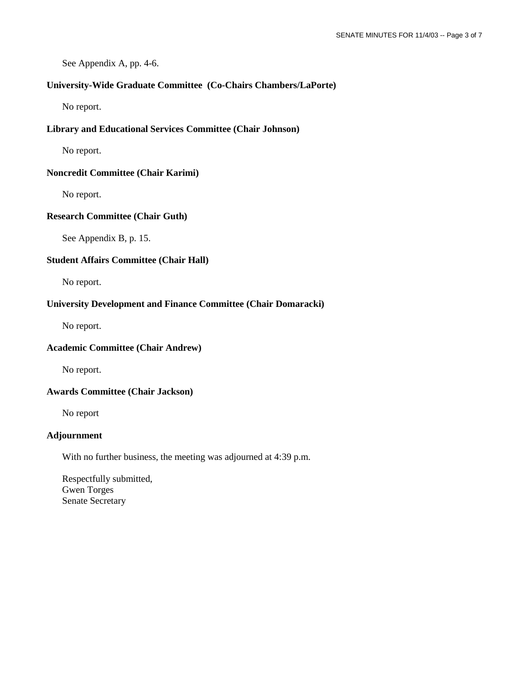See Appendix A, pp. 4-6.

#### **University-Wide Graduate Committee (Co-Chairs Chambers/LaPorte)**

No report.

#### **Library and Educational Services Committee (Chair Johnson)**

No report.

#### **Noncredit Committee (Chair Karimi)**

No report.

#### **Research Committee (Chair Guth)**

See Appendix B, p. 15.

#### **Student Affairs Committee (Chair Hall)**

No report.

#### **University Development and Finance Committee (Chair Domaracki)**

No report.

#### **Academic Committee (Chair Andrew)**

No report.

#### **Awards Committee (Chair Jackson)**

No report

#### **Adjournment**

With no further business, the meeting was adjourned at 4:39 p.m.

Respectfully submitted, Gwen Torges Senate Secretary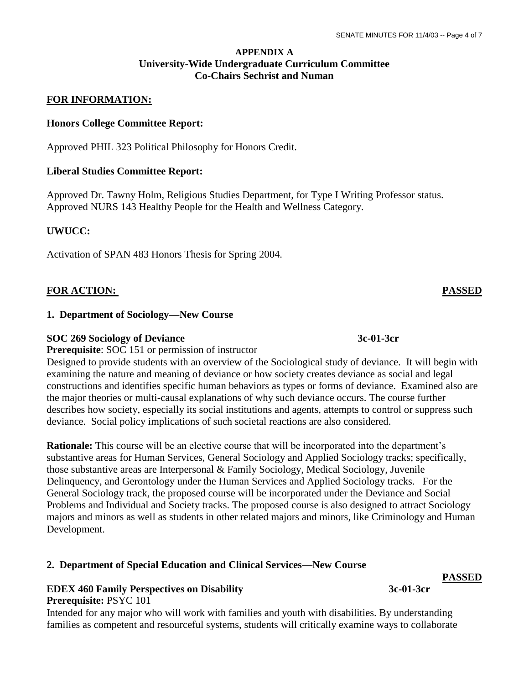### **APPENDIX A University-Wide Undergraduate Curriculum Committee Co-Chairs Sechrist and Numan**

### **FOR INFORMATION:**

#### **Honors College Committee Report:**

Approved PHIL 323 Political Philosophy for Honors Credit.

#### **Liberal Studies Committee Report:**

Approved Dr. Tawny Holm, Religious Studies Department, for Type I Writing Professor status. Approved NURS 143 Healthy People for the Health and Wellness Category.

#### **UWUCC:**

Activation of SPAN 483 Honors Thesis for Spring 2004.

#### **FOR ACTION: PASSED**

#### **1. Department of Sociology—New Course**

#### **SOC 269 Sociology of Deviance 3c-01-3cr**

**Prerequisite**: SOC 151 or permission of instructor

Designed to provide students with an overview of the Sociological study of deviance. It will begin with examining the nature and meaning of deviance or how society creates deviance as social and legal constructions and identifies specific human behaviors as types or forms of deviance. Examined also are the major theories or multi-causal explanations of why such deviance occurs. The course further describes how society, especially its social institutions and agents, attempts to control or suppress such deviance. Social policy implications of such societal reactions are also considered.

**Rationale:** This course will be an elective course that will be incorporated into the department's substantive areas for Human Services, General Sociology and Applied Sociology tracks; specifically, those substantive areas are Interpersonal & Family Sociology, Medical Sociology, Juvenile Delinquency, and Gerontology under the Human Services and Applied Sociology tracks. For the General Sociology track, the proposed course will be incorporated under the Deviance and Social Problems and Individual and Society tracks. The proposed course is also designed to attract Sociology majors and minors as well as students in other related majors and minors, like Criminology and Human Development.

#### **2. Department of Special Education and Clinical Services—New Course**

#### **EDEX 460 Family Perspectives on Disability** 3c-01-3cr **Prerequisite:** PSYC 101

Intended for any major who will work with families and youth with disabilities. By understanding families as competent and resourceful systems, students will critically examine ways to collaborate

# **PASSED**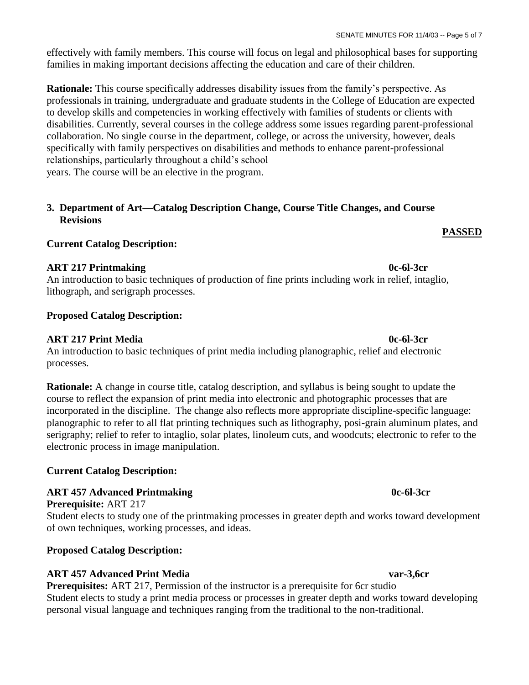effectively with family members. This course will focus on legal and philosophical bases for supporting families in making important decisions affecting the education and care of their children.

**Rationale:** This course specifically addresses disability issues from the family's perspective. As professionals in training, undergraduate and graduate students in the College of Education are expected to develop skills and competencies in working effectively with families of students or clients with disabilities. Currently, several courses in the college address some issues regarding parent-professional collaboration. No single course in the department, college, or across the university, however, deals specifically with family perspectives on disabilities and methods to enhance parent-professional relationships, particularly throughout a child's school years. The course will be an elective in the program.

## **3. Department of Art—Catalog Description Change, Course Title Changes, and Course Revisions**

## **Current Catalog Description:**

## **ART 217 Printmaking 0c-6l-3cr**

An introduction to basic techniques of production of fine prints including work in relief, intaglio, lithograph, and serigraph processes.

## **Proposed Catalog Description:**

## **ART 217 Print Media 0c-6l-3cr**

An introduction to basic techniques of print media including planographic, relief and electronic processes.

**Rationale:** A change in course title, catalog description, and syllabus is being sought to update the course to reflect the expansion of print media into electronic and photographic processes that are incorporated in the discipline. The change also reflects more appropriate discipline-specific language: planographic to refer to all flat printing techniques such as lithography, posi-grain aluminum plates, and serigraphy; relief to refer to intaglio, solar plates, linoleum cuts, and woodcuts; electronic to refer to the electronic process in image manipulation.

## **Current Catalog Description:**

## **ART 457 Advanced Printmaking 0c-6l-3cr**

## **Prerequisite:** ART 217

Student elects to study one of the printmaking processes in greater depth and works toward development of own techniques, working processes, and ideas.

## **Proposed Catalog Description:**

## **ART 457 Advanced Print Media var-3,6cr**

**Prerequisites:** ART 217, Permission of the instructor is a prerequisite for 6cr studio Student elects to study a print media process or processes in greater depth and works toward developing personal visual language and techniques ranging from the traditional to the non-traditional.

**PASSED**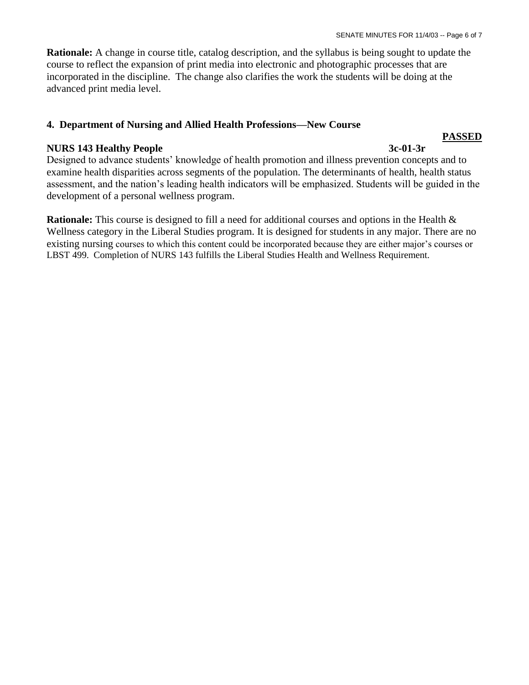**Rationale:** A change in course title, catalog description, and the syllabus is being sought to update the course to reflect the expansion of print media into electronic and photographic processes that are incorporated in the discipline. The change also clarifies the work the students will be doing at the advanced print media level.

### **4. Department of Nursing and Allied Health Professions—New Course**

### **NURS 143 Healthy People 3c-01-3r**

### Designed to advance students' knowledge of health promotion and illness prevention concepts and to examine health disparities across segments of the population. The determinants of health, health status assessment, and the nation's leading health indicators will be emphasized. Students will be guided in the development of a personal wellness program.

**Rationale:** This course is designed to fill a need for additional courses and options in the Health & Wellness category in the Liberal Studies program. It is designed for students in any major. There are no existing nursing courses to which this content could be incorporated because they are either major's courses or LBST 499. Completion of NURS 143 fulfills the Liberal Studies Health and Wellness Requirement.

**PASSED**